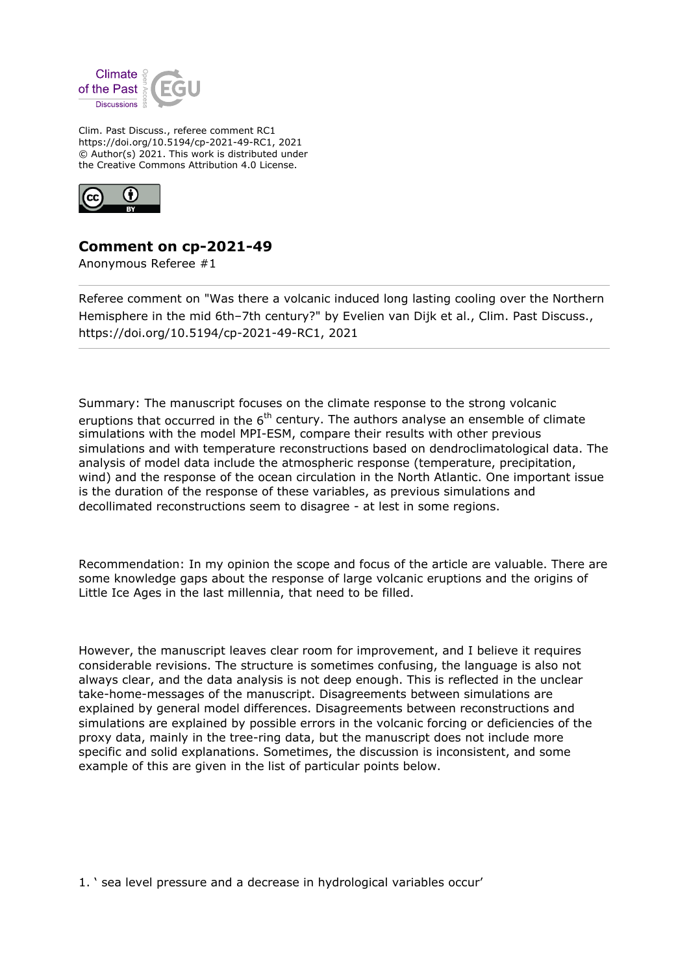

Clim. Past Discuss., referee comment RC1 https://doi.org/10.5194/cp-2021-49-RC1, 2021 © Author(s) 2021. This work is distributed under the Creative Commons Attribution 4.0 License.



## **Comment on cp-2021-49**

Anonymous Referee #1

Referee comment on "Was there a volcanic induced long lasting cooling over the Northern Hemisphere in the mid 6th-7th century?" by Evelien van Dijk et al., Clim. Past Discuss., https://doi.org/10.5194/cp-2021-49-RC1, 2021

Summary: The manuscript focuses on the climate response to the strong volcanic eruptions that occurred in the  $6<sup>th</sup>$  century. The authors analyse an ensemble of climate simulations with the model MPI-ESM, compare their results with other previous simulations and with temperature reconstructions based on dendroclimatological data. The analysis of model data include the atmospheric response (temperature, precipitation, wind) and the response of the ocean circulation in the North Atlantic. One important issue is the duration of the response of these variables, as previous simulations and decollimated reconstructions seem to disagree - at lest in some regions.

Recommendation: In my opinion the scope and focus of the article are valuable. There are some knowledge gaps about the response of large volcanic eruptions and the origins of Little Ice Ages in the last millennia, that need to be filled.

However, the manuscript leaves clear room for improvement, and I believe it requires considerable revisions. The structure is sometimes confusing, the language is also not always clear, and the data analysis is not deep enough. This is reflected in the unclear take-home-messages of the manuscript. Disagreements between simulations are explained by general model differences. Disagreements between reconstructions and simulations are explained by possible errors in the volcanic forcing or deficiencies of the proxy data, mainly in the tree-ring data, but the manuscript does not include more specific and solid explanations. Sometimes, the discussion is inconsistent, and some example of this are given in the list of particular points below.

1. ' sea level pressure and a decrease in hydrological variables occur'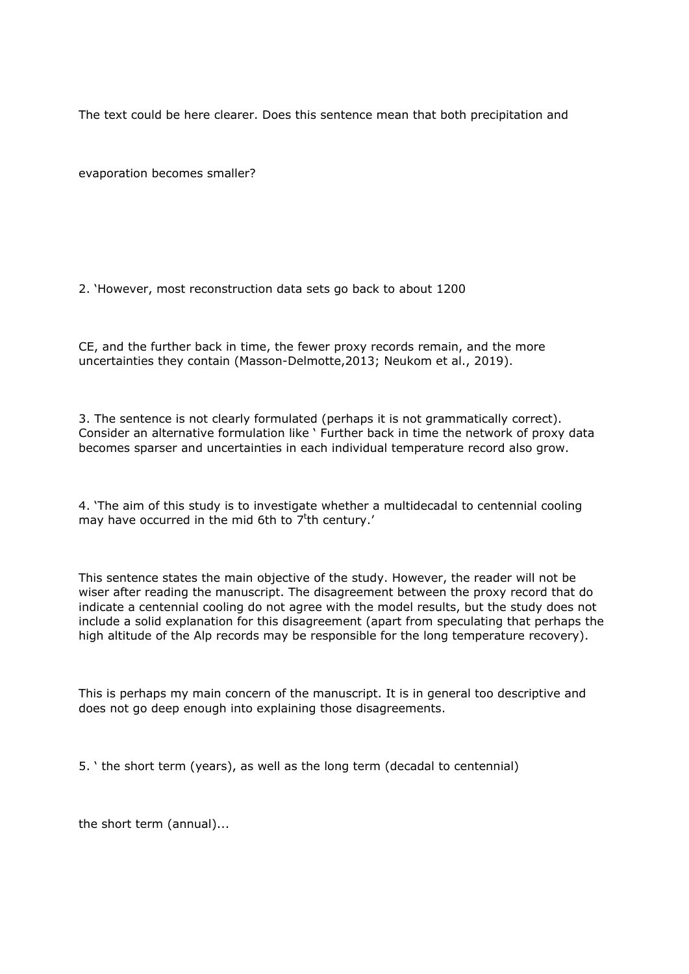The text could be here clearer. Does this sentence mean that both precipitation and

evaporation becomes smaller?

2. 'However, most reconstruction data sets go back to about 1200

CE, and the further back in time, the fewer proxy records remain, and the more uncertainties they contain (Masson-Delmotte,2013; Neukom et al., 2019).

3. The sentence is not clearly formulated (perhaps it is not grammatically correct). Consider an alternative formulation like ' Further back in time the network of proxy data becomes sparser and uncertainties in each individual temperature record also grow.

4. 'The aim of this study is to investigate whether a multidecadal to centennial cooling may have occurred in the mid 6th to 7<sup>t</sup>th century.'

This sentence states the main objective of the study. However, the reader will not be wiser after reading the manuscript. The disagreement between the proxy record that do indicate a centennial cooling do not agree with the model results, but the study does not include a solid explanation for this disagreement (apart from speculating that perhaps the high altitude of the Alp records may be responsible for the long temperature recovery).

This is perhaps my main concern of the manuscript. It is in general too descriptive and does not go deep enough into explaining those disagreements.

5. ' the short term (years), as well as the long term (decadal to centennial)

the short term (annual)...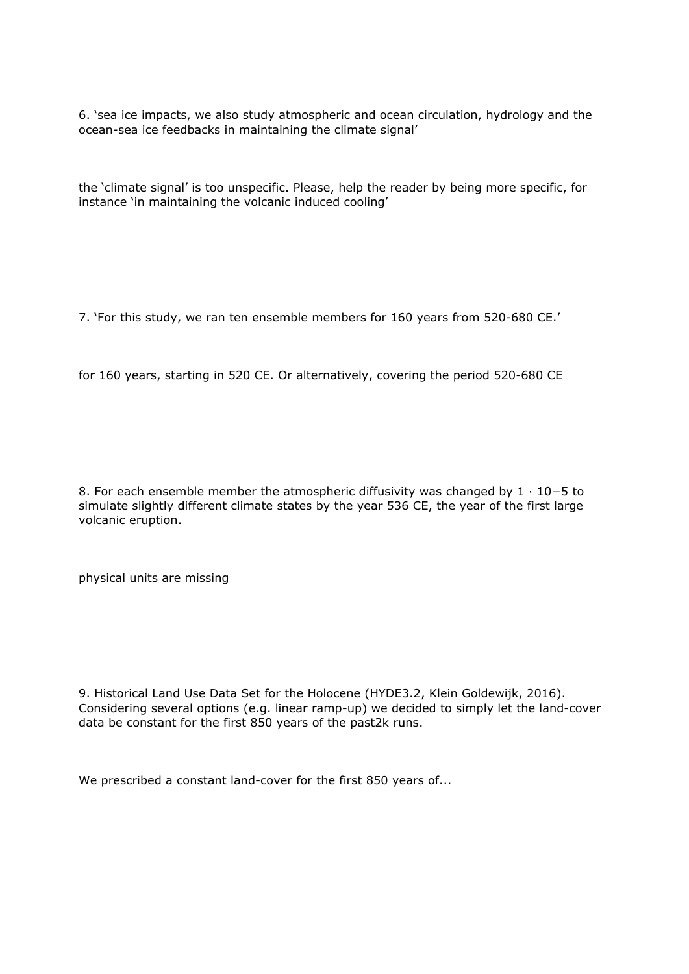6. 'sea ice impacts, we also study atmospheric and ocean circulation, hydrology and the ocean-sea ice feedbacks in maintaining the climate signal'

the 'climate signal' is too unspecific. Please, help the reader by being more specific, for instance 'in maintaining the volcanic induced cooling'

7. 'For this study, we ran ten ensemble members for 160 years from 520-680 CE.'

for 160 years, starting in 520 CE. Or alternatively, covering the period 520-680 CE

8. For each ensemble member the atmospheric diffusivity was changed by 1 · 10−5 to simulate slightly different climate states by the year 536 CE, the year of the first large volcanic eruption.

physical units are missing

9. Historical Land Use Data Set for the Holocene (HYDE3.2, Klein Goldewijk, 2016). Considering several options (e.g. linear ramp-up) we decided to simply let the land-cover data be constant for the first 850 years of the past2k runs.

We prescribed a constant land-cover for the first 850 years of...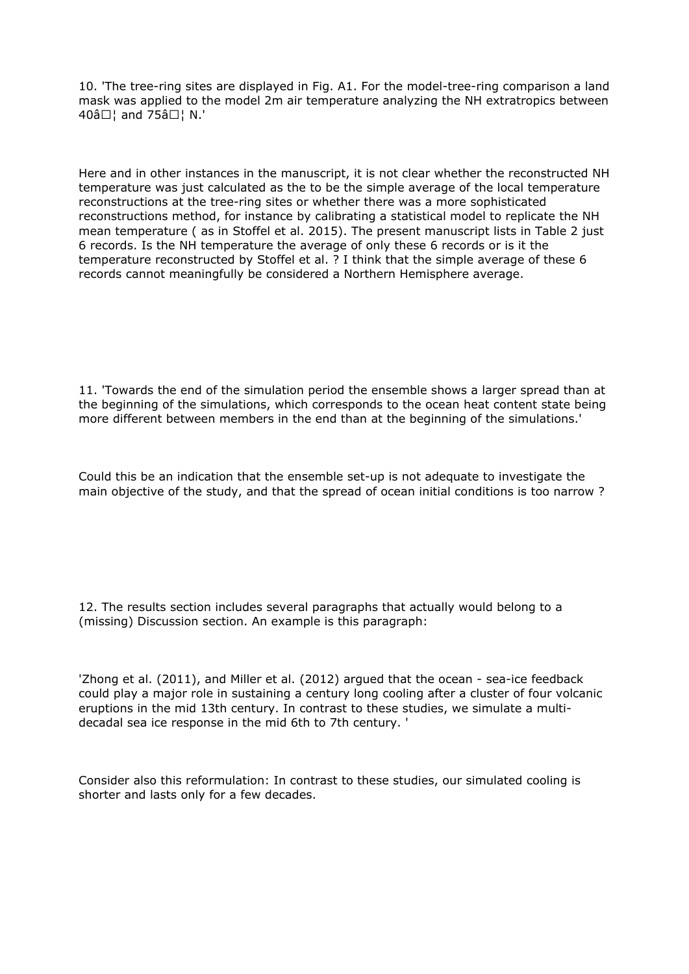10. 'The tree-ring sites are displayed in Fig. A1. For the model-tree-ring comparison a land mask was applied to the model 2m air temperature analyzing the NH extratropics between  $40â$  $\Box$  and  $75â$  $\Box$  N.'

Here and in other instances in the manuscript, it is not clear whether the reconstructed NH temperature was just calculated as the to be the simple average of the local temperature reconstructions at the tree-ring sites or whether there was a more sophisticated reconstructions method, for instance by calibrating a statistical model to replicate the NH mean temperature ( as in Stoffel et al. 2015). The present manuscript lists in Table 2 just 6 records. Is the NH temperature the average of only these 6 records or is it the temperature reconstructed by Stoffel et al. ? I think that the simple average of these 6 records cannot meaningfully be considered a Northern Hemisphere average.

11. 'Towards the end of the simulation period the ensemble shows a larger spread than at the beginning of the simulations, which corresponds to the ocean heat content state being more different between members in the end than at the beginning of the simulations.'

Could this be an indication that the ensemble set-up is not adequate to investigate the main objective of the study, and that the spread of ocean initial conditions is too narrow ?

12. The results section includes several paragraphs that actually would belong to a (missing) Discussion section. An example is this paragraph:

'Zhong et al. (2011), and Miller et al. (2012) argued that the ocean - sea-ice feedback could play a major role in sustaining a century long cooling after a cluster of four volcanic eruptions in the mid 13th century. In contrast to these studies, we simulate a multidecadal sea ice response in the mid 6th to 7th century. '

Consider also this reformulation: In contrast to these studies, our simulated cooling is shorter and lasts only for a few decades.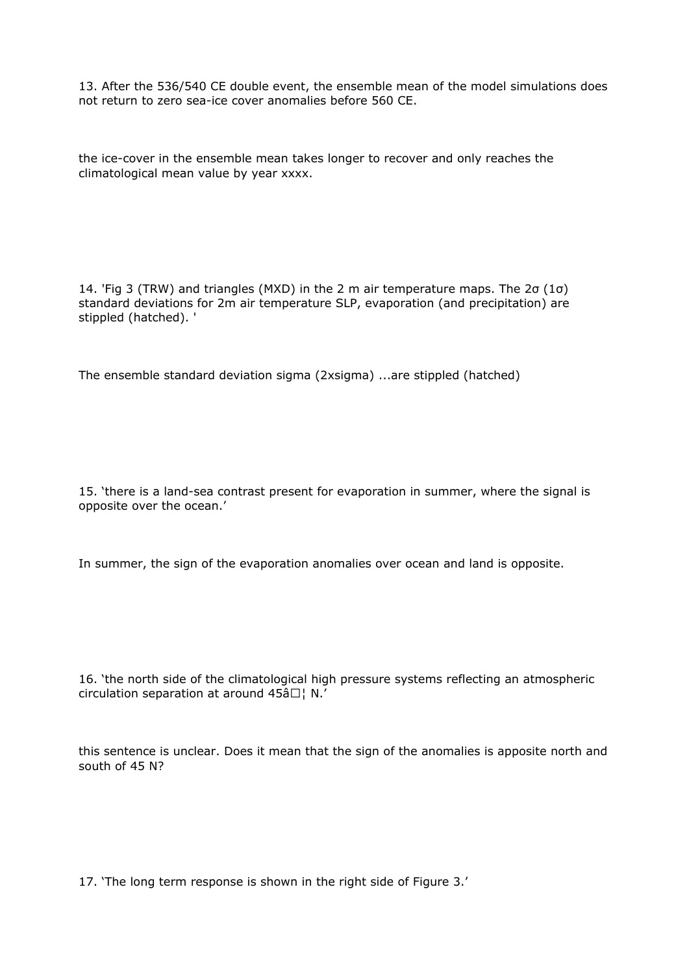13. After the 536/540 CE double event, the ensemble mean of the model simulations does not return to zero sea-ice cover anomalies before 560 CE.

the ice-cover in the ensemble mean takes longer to recover and only reaches the climatological mean value by year xxxx.

14. 'Fig 3 (TRW) and triangles (MXD) in the 2 m air temperature maps. The 2σ (1σ) standard deviations for 2m air temperature SLP, evaporation (and precipitation) are stippled (hatched). '

The ensemble standard deviation sigma (2xsigma) ...are stippled (hatched)

15. 'there is a land-sea contrast present for evaporation in summer, where the signal is opposite over the ocean.'

In summer, the sign of the evaporation anomalies over ocean and land is opposite.

16. 'the north side of the climatological high pressure systems reflecting an atmospheric circulation separation at around  $45â$  $\Box$  | N.'

this sentence is unclear. Does it mean that the sign of the anomalies is apposite north and south of 45 N?

17. 'The long term response is shown in the right side of Figure 3.'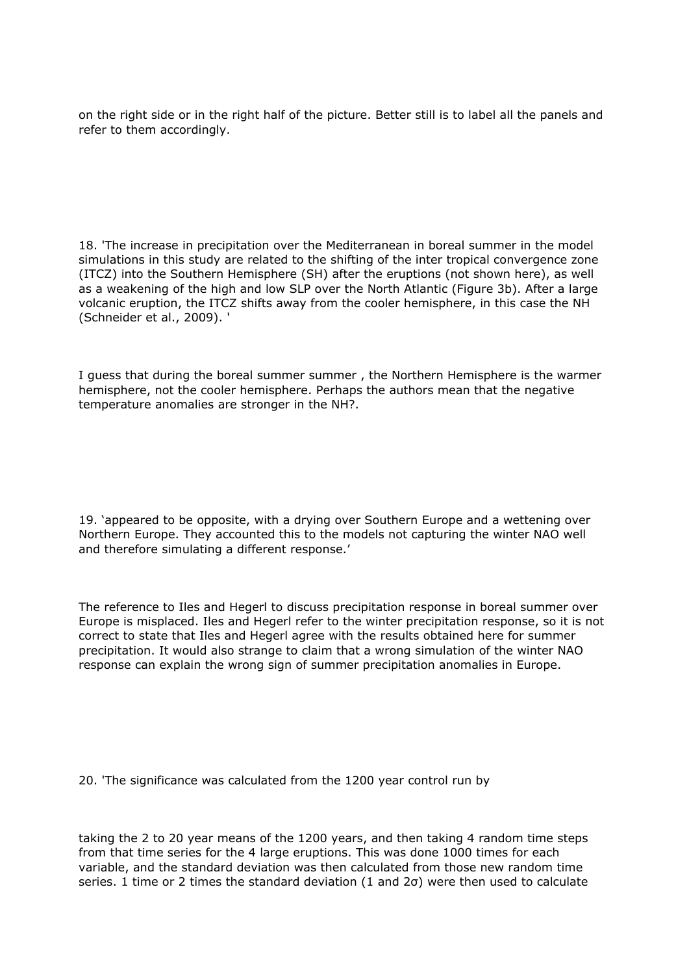on the right side or in the right half of the picture. Better still is to label all the panels and refer to them accordingly.

18. 'The increase in precipitation over the Mediterranean in boreal summer in the model simulations in this study are related to the shifting of the inter tropical convergence zone (ITCZ) into the Southern Hemisphere (SH) after the eruptions (not shown here), as well as a weakening of the high and low SLP over the North Atlantic (Figure 3b). After a large volcanic eruption, the ITCZ shifts away from the cooler hemisphere, in this case the NH (Schneider et al., 2009). '

I guess that during the boreal summer summer , the Northern Hemisphere is the warmer hemisphere, not the cooler hemisphere. Perhaps the authors mean that the negative temperature anomalies are stronger in the NH?.

19. 'appeared to be opposite, with a drying over Southern Europe and a wettening over Northern Europe. They accounted this to the models not capturing the winter NAO well and therefore simulating a different response.'

The reference to Iles and Hegerl to discuss precipitation response in boreal summer over Europe is misplaced. Iles and Hegerl refer to the winter precipitation response, so it is not correct to state that Iles and Hegerl agree with the results obtained here for summer precipitation. It would also strange to claim that a wrong simulation of the winter NAO response can explain the wrong sign of summer precipitation anomalies in Europe.

20. 'The significance was calculated from the 1200 year control run by

taking the 2 to 20 year means of the 1200 years, and then taking 4 random time steps from that time series for the 4 large eruptions. This was done 1000 times for each variable, and the standard deviation was then calculated from those new random time series. 1 time or 2 times the standard deviation (1 and 2σ) were then used to calculate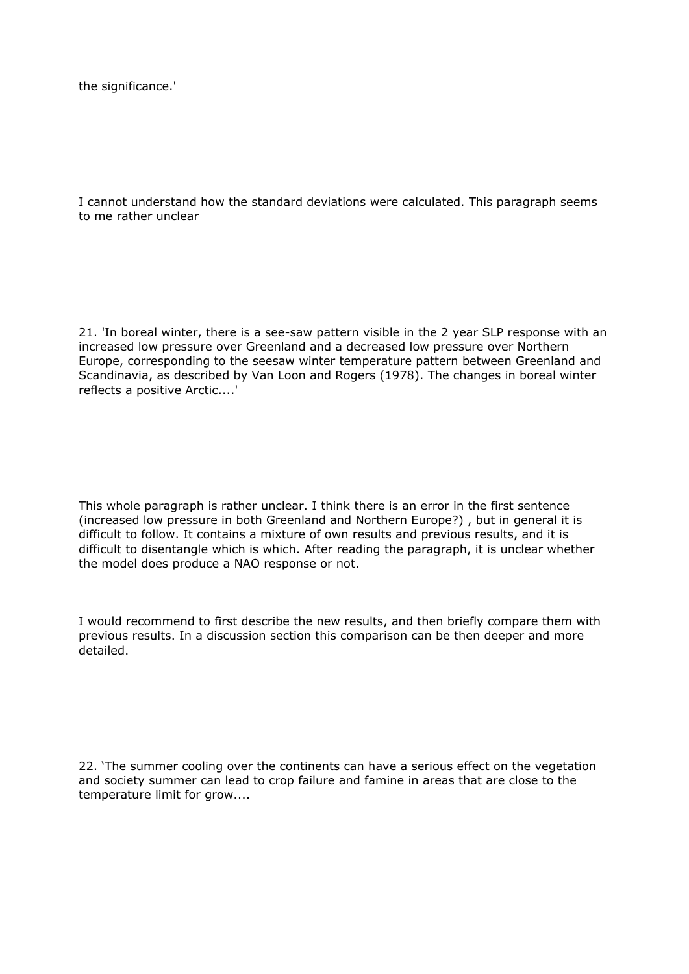the significance.'

I cannot understand how the standard deviations were calculated. This paragraph seems to me rather unclear

21. 'In boreal winter, there is a see-saw pattern visible in the 2 year SLP response with an increased low pressure over Greenland and a decreased low pressure over Northern Europe, corresponding to the seesaw winter temperature pattern between Greenland and Scandinavia, as described by Van Loon and Rogers (1978). The changes in boreal winter reflects a positive Arctic....'

This whole paragraph is rather unclear. I think there is an error in the first sentence (increased low pressure in both Greenland and Northern Europe?) , but in general it is difficult to follow. It contains a mixture of own results and previous results, and it is difficult to disentangle which is which. After reading the paragraph, it is unclear whether the model does produce a NAO response or not.

I would recommend to first describe the new results, and then briefly compare them with previous results. In a discussion section this comparison can be then deeper and more detailed.

22. 'The summer cooling over the continents can have a serious effect on the vegetation and society summer can lead to crop failure and famine in areas that are close to the temperature limit for grow....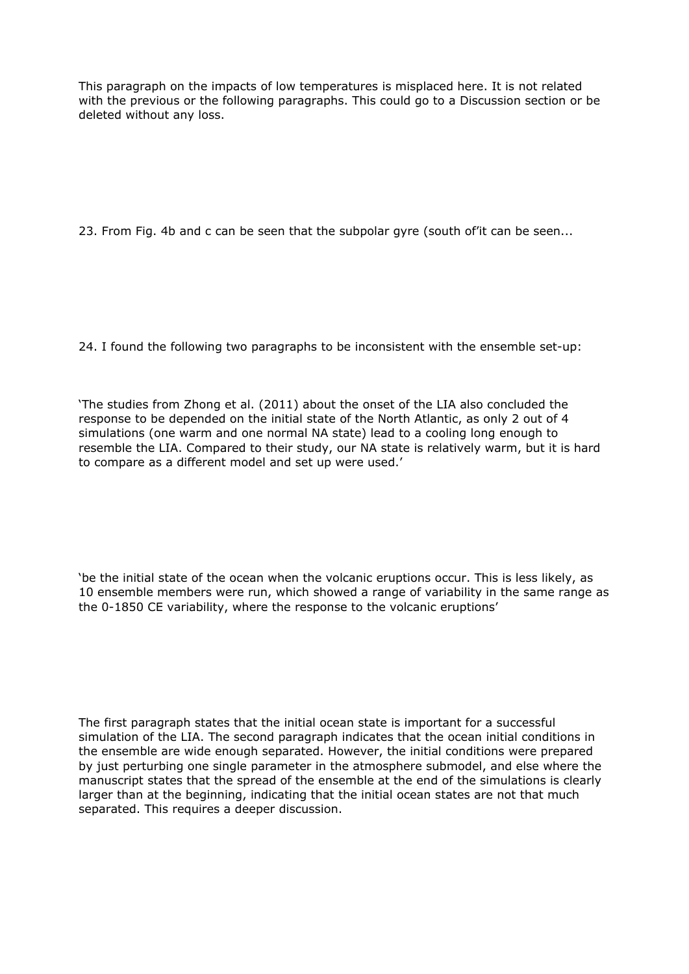This paragraph on the impacts of low temperatures is misplaced here. It is not related with the previous or the following paragraphs. This could go to a Discussion section or be deleted without any loss.

23. From Fig. 4b and c can be seen that the subpolar gyre (south of'it can be seen...

24. I found the following two paragraphs to be inconsistent with the ensemble set-up:

'The studies from Zhong et al. (2011) about the onset of the LIA also concluded the response to be depended on the initial state of the North Atlantic, as only 2 out of 4 simulations (one warm and one normal NA state) lead to a cooling long enough to resemble the LIA. Compared to their study, our NA state is relatively warm, but it is hard to compare as a different model and set up were used.'

'be the initial state of the ocean when the volcanic eruptions occur. This is less likely, as 10 ensemble members were run, which showed a range of variability in the same range as the 0-1850 CE variability, where the response to the volcanic eruptions'

The first paragraph states that the initial ocean state is important for a successful simulation of the LIA. The second paragraph indicates that the ocean initial conditions in the ensemble are wide enough separated. However, the initial conditions were prepared by just perturbing one single parameter in the atmosphere submodel, and else where the manuscript states that the spread of the ensemble at the end of the simulations is clearly larger than at the beginning, indicating that the initial ocean states are not that much separated. This requires a deeper discussion.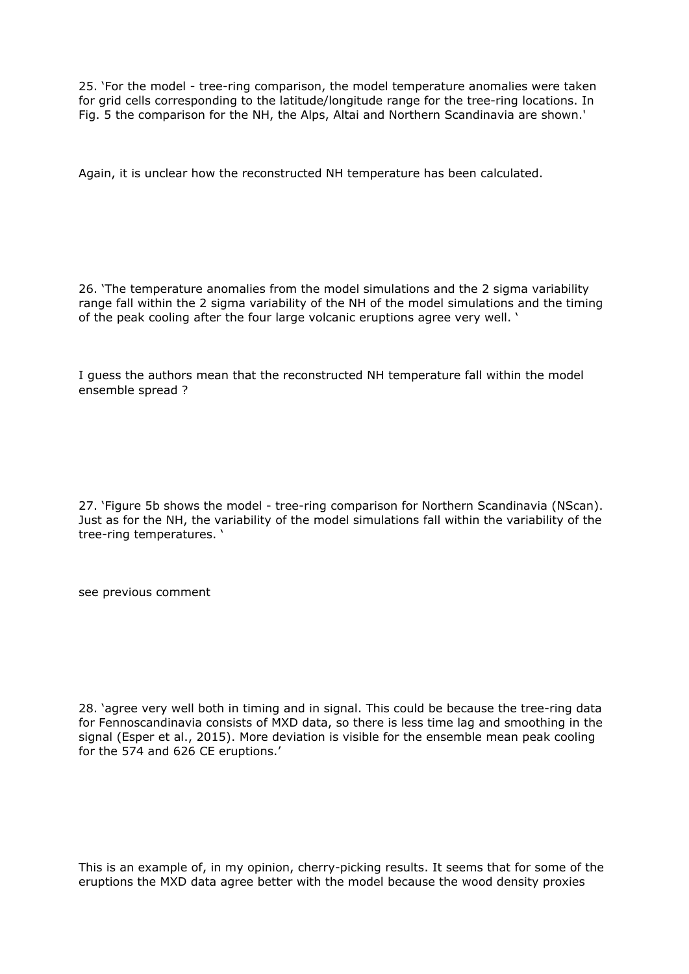25. 'For the model - tree-ring comparison, the model temperature anomalies were taken for grid cells corresponding to the latitude/longitude range for the tree-ring locations. In Fig. 5 the comparison for the NH, the Alps, Altai and Northern Scandinavia are shown.'

Again, it is unclear how the reconstructed NH temperature has been calculated.

26. 'The temperature anomalies from the model simulations and the 2 sigma variability range fall within the 2 sigma variability of the NH of the model simulations and the timing of the peak cooling after the four large volcanic eruptions agree very well. '

I guess the authors mean that the reconstructed NH temperature fall within the model ensemble spread ?

27. 'Figure 5b shows the model - tree-ring comparison for Northern Scandinavia (NScan). Just as for the NH, the variability of the model simulations fall within the variability of the tree-ring temperatures. '

see previous comment

28. 'agree very well both in timing and in signal. This could be because the tree-ring data for Fennoscandinavia consists of MXD data, so there is less time lag and smoothing in the signal (Esper et al., 2015). More deviation is visible for the ensemble mean peak cooling for the 574 and 626 CE eruptions.'

This is an example of, in my opinion, cherry-picking results. It seems that for some of the eruptions the MXD data agree better with the model because the wood density proxies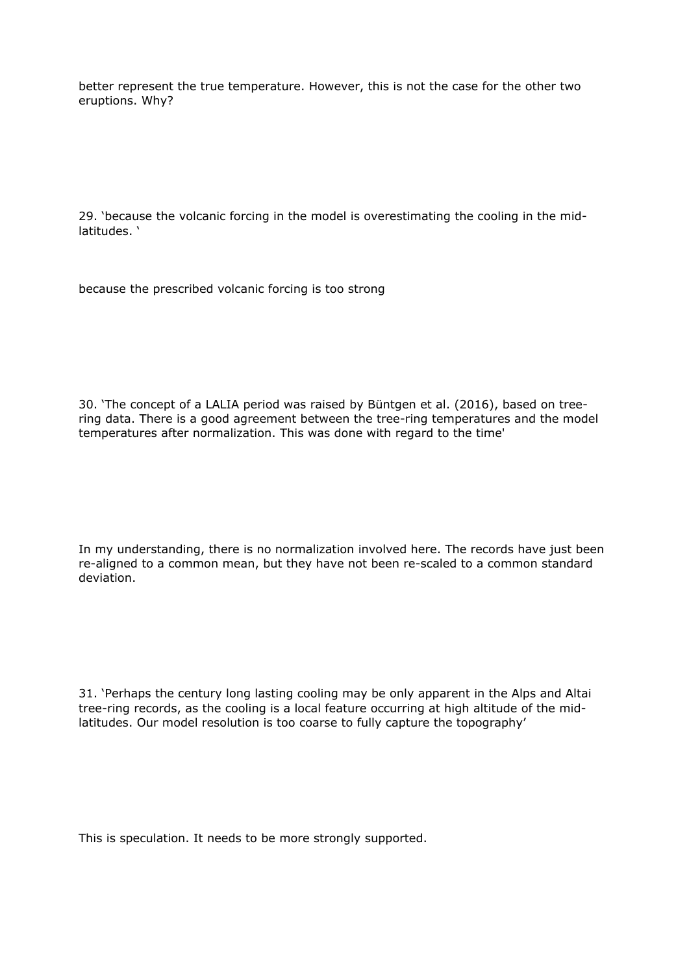better represent the true temperature. However, this is not the case for the other two eruptions. Why?

29. 'because the volcanic forcing in the model is overestimating the cooling in the midlatitudes. '

because the prescribed volcanic forcing is too strong

30. 'The concept of a LALIA period was raised by Büntgen et al. (2016), based on treering data. There is a good agreement between the tree-ring temperatures and the model temperatures after normalization. This was done with regard to the time'

In my understanding, there is no normalization involved here. The records have just been re-aligned to a common mean, but they have not been re-scaled to a common standard deviation.

31. 'Perhaps the century long lasting cooling may be only apparent in the Alps and Altai tree-ring records, as the cooling is a local feature occurring at high altitude of the midlatitudes. Our model resolution is too coarse to fully capture the topography'

This is speculation. It needs to be more strongly supported.